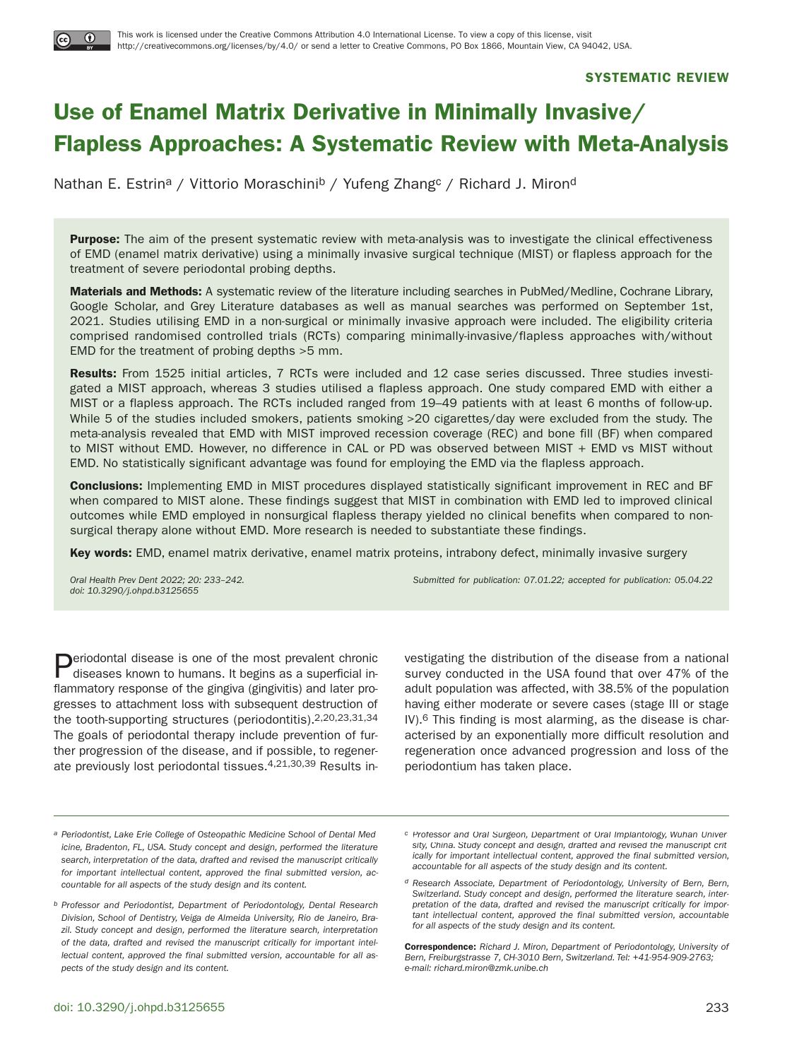## **SYSTEMATIC REVIEW**

# **Use of Enamel Matrix Derivative in Minimally Invasive/ Flapless Approaches: A Systematic Review with Meta-Analysis**

Nathan E. Estrin<sup>a</sup> / Vittorio Moraschini<sup>b</sup> / Yufeng Zhang<sup>c</sup> / Richard J. Miron<sup>d</sup>

**Purpose:** The aim of the present systematic review with meta-analysis was to investigate the clinical effectiveness of EMD (enamel matrix derivative) using a minimally invasive surgical technique (MIST) or flapless approach for the treatment of severe periodontal probing depths.

**Materials and Methods:** A systematic review of the literature including searches in PubMed/Medline, Cochrane Library, Google Scholar, and Grey Literature databases as well as manual searches was performed on September 1st, 2021. Studies utilising EMD in a non-surgical or minimally invasive approach were included. The eligibility criteria comprised randomised controlled trials (RCTs) comparing minimally-invasive/flapless approaches with/without EMD for the treatment of probing depths >5 mm.

**Results:** From 1525 initial articles, 7 RCTs were included and 12 case series discussed. Three studies investigated a MIST approach, whereas 3 studies utilised a flapless approach. One study compared EMD with either a MIST or a flapless approach. The RCTs included ranged from 19–49 patients with at least 6 months of follow-up. While 5 of the studies included smokers, patients smoking >20 cigarettes/day were excluded from the study. The meta-analysis revealed that EMD with MIST improved recession coverage (REC) and bone fill (BF) when compared to MIST without EMD. However, no difference in CAL or PD was observed between MIST + EMD vs MIST without EMD. No statistically significant advantage was found for employing the EMD via the flapless approach.

**Conclusions:** Implementing EMD in MIST procedures displayed statistically significant improvement in REC and BF when compared to MIST alone. These findings suggest that MIST in combination with EMD led to improved clinical outcomes while EMD employed in nonsurgical flapless therapy yielded no clinical benefits when compared to nonsurgical therapy alone without EMD. More research is needed to substantiate these findings.

**Key words:** EMD, enamel matrix derivative, enamel matrix proteins, intrabony defect, minimally invasive surgery

doi: 10.3290/j.ohpd.b3125655

Oral Health Prev Dent 2022; 20: 233–242. Submitted for publication: 07.01.22; accepted for publication: 05.04.22

**Periodontal disease is one of the most prevalent chronic** diseases known to humans. It begins as a superficial inflammatory response of the gingiva (gingivitis) and later progresses to attachment loss with subsequent destruction of the tooth-supporting structures (periodontitis).2,20,23,31,34 The goals of periodontal therapy include prevention of further progression of the disease, and if possible, to regenerate previously lost periodontal tissues.4,21,30,39 Results in-

vestigating the distribution of the disease from a national survey conducted in the USA found that over 47% of the adult population was affected, with 38.5% of the population having either moderate or severe cases (stage III or stage IV).6 This finding is most alarming, as the disease is characterised by an exponentially more difficult resolution and regeneration once advanced progression and loss of the periodontium has taken place.

a Periodontist, Lake Erie College of Osteopathic Medicine School of Dental Medicine, Bradenton, FL, USA. Study concept and design, performed the literature search, interpretation of the data, drafted and revised the manuscript critically for important intellectual content, approved the final submitted version, accountable for all aspects of the study design and its content.

b Professor and Periodontist, Department of Periodontology, Dental Research Division, School of Dentistry, Veiga de Almeida University, Rio de Janeiro, Brazil. Study concept and design, performed the literature search, interpretation of the data, drafted and revised the manuscript critically for important intellectual content, approved the final submitted version, accountable for all aspects of the study design and its content.

c Professor and Oral Surgeon, Department of Oral Implantology, Wuhan University, China. Study concept and design, drafted and revised the manuscript critically for important intellectual content, approved the final submitted version, accountable for all aspects of the study design and its content.

d Research Associate, Department of Periodontology, University of Bern, Bern, Switzerland. Study concept and design, performed the literature search, interpretation of the data, drafted and revised the manuscript critically for important intellectual content, approved the final submitted version, accountable for all aspects of the study design and its content.

**Correspondence:** Richard J. Miron, Department of Periodontology, University of Bern, Freiburgstrasse 7, CH-3010 Bern, Switzerland. Tel: +41-954-909-2763; e-mail: richard.miron@zmk.unibe.ch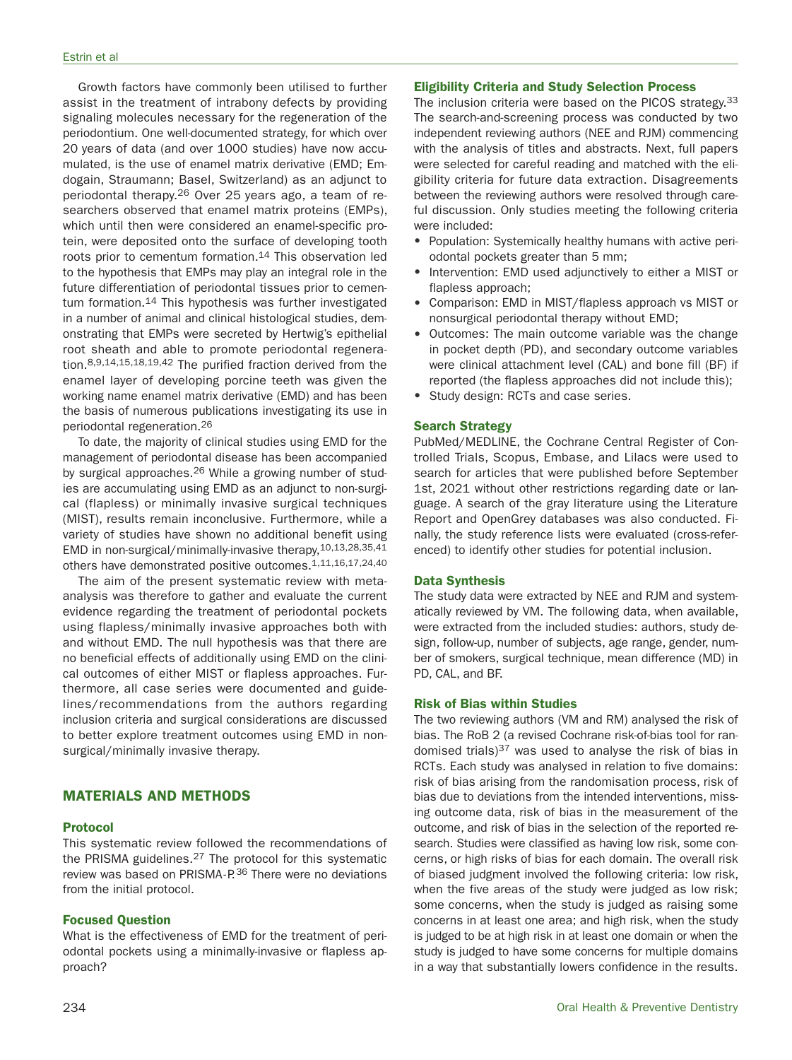Growth factors have commonly been utilised to further assist in the treatment of intrabony defects by providing signaling molecules necessary for the regeneration of the periodontium. One well-documented strategy, for which over 20 years of data (and over 1000 studies) have now accumulated, is the use of enamel matrix derivative (EMD; Emdogain, Straumann; Basel, Switzerland) as an adjunct to periodontal therapy.26 Over 25 years ago, a team of researchers observed that enamel matrix proteins (EMPs), which until then were considered an enamel-specific protein, were deposited onto the surface of developing tooth roots prior to cementum formation.<sup>14</sup> This observation led to the hypothesis that EMPs may play an integral role in the future differentiation of periodontal tissues prior to cementum formation.14 This hypothesis was further investigated in a number of animal and clinical histological studies, demonstrating that EMPs were secreted by Hertwig's epithelial root sheath and able to promote periodontal regeneration.8,9,14,15,18,19,42 The purified fraction derived from the enamel layer of developing porcine teeth was given the working name enamel matrix derivative (EMD) and has been the basis of numerous publications investigating its use in periodontal regeneration.26

To date, the majority of clinical studies using EMD for the management of periodontal disease has been accompanied by surgical approaches.26 While a growing number of studies are accumulating using EMD as an adjunct to non-surgical (flapless) or minimally invasive surgical techniques (MIST), results remain inconclusive. Furthermore, while a variety of studies have shown no additional benefit using EMD in non-surgical/minimally-invasive therapy,10,13,28,35,41 others have demonstrated positive outcomes.1,11,16,17,24,40

The aim of the present systematic review with metaanalysis was therefore to gather and evaluate the current evidence regarding the treatment of periodontal pockets using flapless/minimally invasive approaches both with and without EMD. The null hypothesis was that there are no beneficial effects of additionally using EMD on the clinical outcomes of either MIST or flapless approaches. Furthermore, all case series were documented and guidelines/recommendations from the authors regarding inclusion criteria and surgical considerations are discussed to better explore treatment outcomes using EMD in nonsurgical/minimally invasive therapy.

# **MATERIALS AND METHODS**

## **Protocol**

This systematic review followed the recommendations of the PRISMA guidelines.27 The protocol for this systematic review was based on PRISMA-P.<sup>36</sup> There were no deviations from the initial protocol.

#### **Focused Question**

What is the effectiveness of EMD for the treatment of periodontal pockets using a minimally-invasive or flapless approach?

## **Eligibility Criteria and Study Selection Process**

The inclusion criteria were based on the PICOS strategy.33 The search-and-screening process was conducted by two independent reviewing authors (NEE and RJM) commencing with the analysis of titles and abstracts. Next, full papers were selected for careful reading and matched with the eligibility criteria for future data extraction. Disagreements between the reviewing authors were resolved through careful discussion. Only studies meeting the following criteria were included:

- Population: Systemically healthy humans with active periodontal pockets greater than 5 mm;
- Intervention: EMD used adjunctively to either a MIST or flapless approach;
- Comparison: EMD in MIST/flapless approach vs MIST or nonsurgical periodontal therapy without EMD;
- Outcomes: The main outcome variable was the change in pocket depth (PD), and secondary outcome variables were clinical attachment level (CAL) and bone fill (BF) if reported (the flapless approaches did not include this);
- Study design: RCTs and case series.

#### **Search Strategy**

PubMed/MEDLINE, the Cochrane Central Register of Controlled Trials, Scopus, Embase, and Lilacs were used to search for articles that were published before September 1st, 2021 without other restrictions regarding date or language. A search of the gray literature using the Literature Report and OpenGrey databases was also conducted. Finally, the study reference lists were evaluated (cross-referenced) to identify other studies for potential inclusion.

#### **Data Synthesis**

The study data were extracted by NEE and RJM and systematically reviewed by VM. The following data, when available, were extracted from the included studies: authors, study design, follow-up, number of subjects, age range, gender, number of smokers, surgical technique, mean difference (MD) in PD, CAL, and BF.

#### **Risk of Bias within Studies**

The two reviewing authors (VM and RM) analysed the risk of bias. The RoB 2 (a revised Cochrane risk-of-bias tool for randomised trials) $37$  was used to analyse the risk of bias in RCTs. Each study was analysed in relation to five domains: risk of bias arising from the randomisation process, risk of bias due to deviations from the intended interventions, missing outcome data, risk of bias in the measurement of the outcome, and risk of bias in the selection of the reported research. Studies were classified as having low risk, some concerns, or high risks of bias for each domain. The overall risk of biased judgment involved the following criteria: low risk, when the five areas of the study were judged as low risk; some concerns, when the study is judged as raising some concerns in at least one area; and high risk, when the study is judged to be at high risk in at least one domain or when the study is judged to have some concerns for multiple domains in a way that substantially lowers confidence in the results.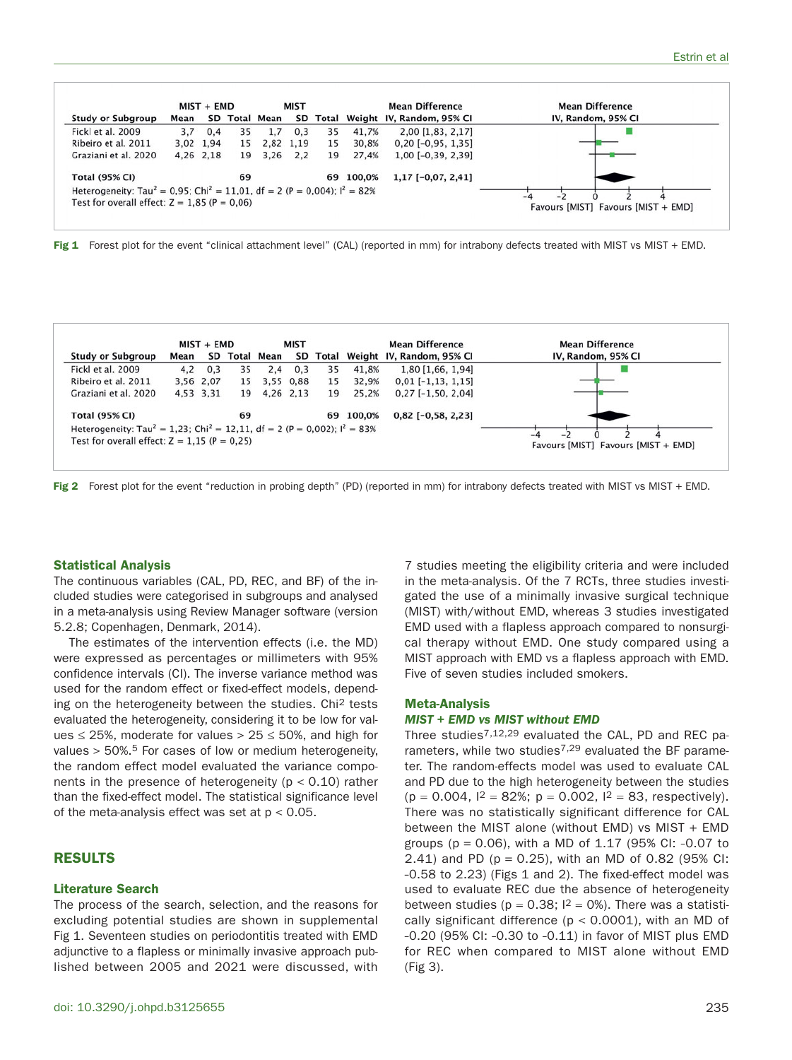

Fig 1 Forest plot for the event "clinical attachment level" (CAL) (reported in mm) for intrabony defects treated with MIST vs MIST + EMD.

|                                                                                                    | $MIST + EMD$<br><b>MIST</b> |           | <b>Mean Difference</b> |               | <b>Mean Difference</b> |    |           |                                    |                                     |
|----------------------------------------------------------------------------------------------------|-----------------------------|-----------|------------------------|---------------|------------------------|----|-----------|------------------------------------|-------------------------------------|
| <b>Study or Subgroup</b>                                                                           | Mean                        |           |                        | SD Total Mean |                        |    |           | SD Total Weight IV, Random, 95% CI | IV, Random, 95% CI                  |
| Fickl et al. 2009                                                                                  | 4.2                         | 0,3       | 35                     | 2.4           | 0,3                    | 35 | 41,8%     | 1,80 [1,66, 1,94]                  |                                     |
| Ribeiro et al. 2011                                                                                |                             | 3,56 2,07 | 15                     | 3,55 0,88     |                        | 15 | 32,9%     | $0,01$ [-1,13, 1,15]               |                                     |
| Graziani et al. 2020                                                                               |                             | 4,53 3,31 | 19                     | 4,26 2,13     |                        | 19 | 25,2%     | $0,27$ [-1,50, 2,04]               |                                     |
| <b>Total (95% CI)</b>                                                                              |                             |           | 69                     |               |                        |    | 69 100,0% | $0,82$ [-0,58, 2,23]               |                                     |
| Heterogeneity: Tau <sup>2</sup> = 1,23; Chi <sup>2</sup> = 12,11, df = 2 (P = 0,002); $I^2 = 83\%$ |                             |           |                        |               |                        |    |           |                                    |                                     |
| Test for overall effect: $Z = 1.15$ (P = 0.25)                                                     |                             |           |                        |               |                        |    |           |                                    | Favours [MIST] Favours [MIST + EMD] |



#### **Statistical Analysis**

The continuous variables (CAL, PD, REC, and BF) of the included studies were categorised in subgroups and analysed in a meta-analysis using Review Manager software (version 5.2.8; Copenhagen, Denmark, 2014).

The estimates of the intervention effects (i.e. the MD) were expressed as percentages or millimeters with 95% confidence intervals (CI). The inverse variance method was used for the random effect or fixed-effect models, depending on the heterogeneity between the studies. Chi2 tests evaluated the heterogeneity, considering it to be low for values  $\leq$  25%, moderate for values > 25  $\leq$  50%, and high for values > 50%.5 For cases of low or medium heterogeneity, the random effect model evaluated the variance components in the presence of heterogeneity ( $p < 0.10$ ) rather than the fixed-effect model. The statistical significance level of the meta-analysis effect was set at  $p < 0.05$ .

## **RESULTS**

#### **Literature Search**

The process of the search, selection, and the reasons for excluding potential studies are shown in supplemental Fig 1. Seventeen studies on periodontitis treated with EMD adjunctive to a flapless or minimally invasive approach published between 2005 and 2021 were discussed, with 7 studies meeting the eligibility criteria and were included in the meta-analysis. Of the 7 RCTs, three studies investigated the use of a minimally invasive surgical technique (MIST) with/without EMD, whereas 3 studies investigated EMD used with a flapless approach compared to nonsurgical therapy without EMD. One study compared using a MIST approach with EMD vs a flapless approach with EMD. Five of seven studies included smokers.

#### **Meta-Analysis**

#### *MIST + EMD vs MIST without EMD*

Three studies7,12,29 evaluated the CAL, PD and REC parameters, while two studies<sup>7,29</sup> evaluated the BF parameter. The random-effects model was used to evaluate CAL and PD due to the high heterogeneity between the studies  $(p = 0.004, 1^2 = 82\%; p = 0.002, 1^2 = 83, respectively).$ There was no statistically significant difference for CAL between the MIST alone (without EMD) vs MIST + EMD groups ( $p = 0.06$ ), with a MD of 1.17 (95% CI: -0.07 to 2.41) and PD ( $p = 0.25$ ), with an MD of 0.82 (95% CI: -0.58 to 2.23) (Figs 1 and 2). The fixed-effect model was used to evaluate REC due the absence of heterogeneity between studies ( $p = 0.38$ ;  $l^2 = 0$ %). There was a statistically significant difference ( $p < 0.0001$ ), with an MD of -0.20 (95% CI: -0.30 to -0.11) in favor of MIST plus EMD for REC when compared to MIST alone without EMD (Fig 3).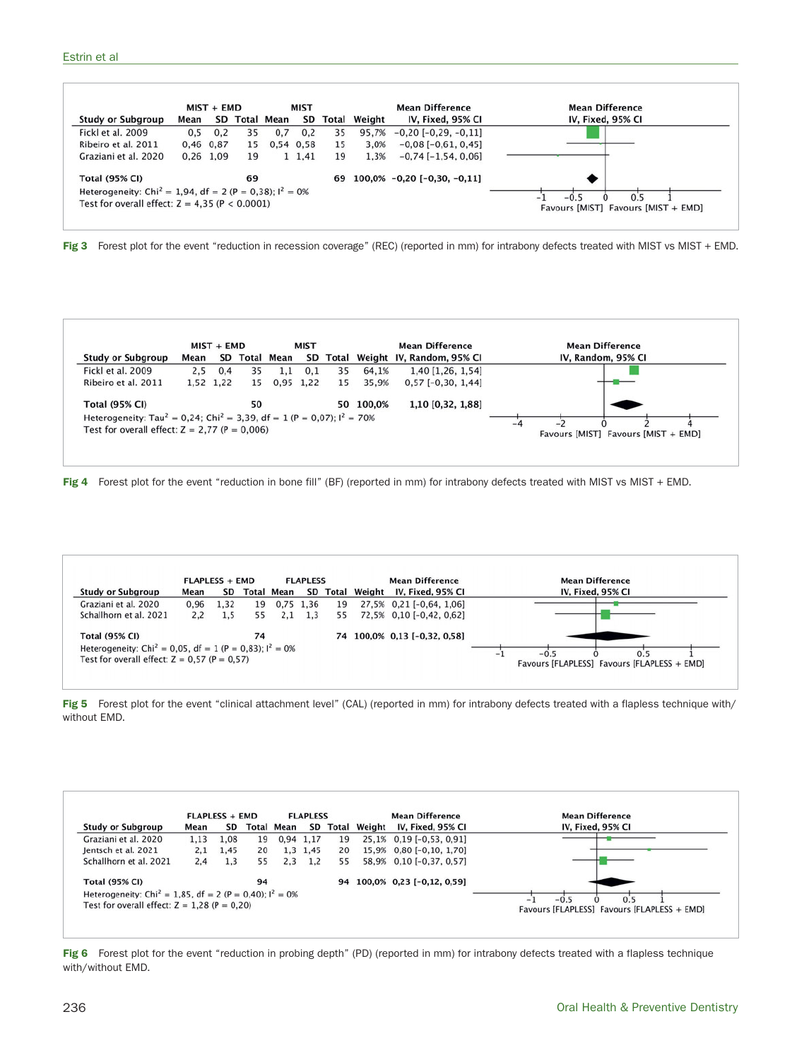

Fig 3 Forest plot for the event "reduction in recession coverage" (REC) (reported in mm) for intrabony defects treated with MIST vs MIST + EMD.

| $MIST + EMD$                                                                                    |      |           | <b>MIST</b>   |     |           | <b>Mean Difference</b> | <b>Mean Difference</b> |                                    |                                                       |
|-------------------------------------------------------------------------------------------------|------|-----------|---------------|-----|-----------|------------------------|------------------------|------------------------------------|-------------------------------------------------------|
| <b>Study or Subgroup</b>                                                                        | Mean |           | SD Total Mean |     |           |                        |                        | SD Total Weight IV, Random, 95% CI | IV, Random, 95% CI                                    |
| Fickl et al. 2009                                                                               | 2.5  | 0,4       | 35            | 1.1 | 0,1       | 35                     | 64.1%                  | 1,40 [1,26, 1,54]                  |                                                       |
| Ribeiro et al. 2011                                                                             |      | 1,52 1,22 | 15            |     | 0.95 1.22 | 15                     | 35,9%                  | $0.57$ [-0.30, 1.44]               |                                                       |
| <b>Total (95% CI)</b>                                                                           |      |           | 50            |     |           |                        | 50 100,0%              | 1,10 [0,32, 1,88]                  |                                                       |
| Heterogeneity: Tau <sup>2</sup> = 0,24; Chi <sup>2</sup> = 3,39, df = 1 (P = 0,07); $1^2$ = 70% |      |           |               |     |           |                        |                        |                                    |                                                       |
| Test for overall effect: $Z = 2,77$ (P = 0,006)                                                 |      |           |               |     |           |                        |                        |                                    | $-4$<br>$\sim$<br>Favours [MIST] Favours [MIST + EMD] |

**Fig 4** Forest plot for the event "reduction in bone fill" (BF) (reported in mm) for intrabony defects treated with MIST vs MIST + EMD.



Fig 5 Forest plot for the event "clinical attachment level" (CAL) (reported in mm) for intrabony defects treated with a flapless technique with/ without EMD.

|                                                                                |      | <b>FLAPLESS + EMD</b> |    |                   | <b>FLAPLESS</b> |          |        | <b>Mean Difference</b>       | <b>Mean Difference</b>                                                  |
|--------------------------------------------------------------------------------|------|-----------------------|----|-------------------|-----------------|----------|--------|------------------------------|-------------------------------------------------------------------------|
| <b>Study or Subgroup</b>                                                       | Mean | SD                    |    | <b>Total Mean</b> |                 | SD Total | Weight | IV, Fixed, 95% CI            | IV, Fixed, 95% CI                                                       |
| Graziani et al. 2020                                                           | 1.13 | 1.08                  | 19 | 0,94 1,17         |                 | 19       |        | 25,1% 0,19 [-0,53, 0,91]     |                                                                         |
| Jentsch et al. 2021                                                            | 2.1  | 1,45                  | 20 |                   | 1.3 1.45        | 20       |        | 15,9% 0.80 [-0.10, 1.70]     |                                                                         |
| Schallhorn et al. 2021                                                         | 2.4  | 1.3                   | 55 | 2.3               | 1.2             | 55       |        | 58,9% 0,10 [-0,37, 0,57]     |                                                                         |
| <b>Total (95% CI)</b>                                                          |      |                       | 94 |                   |                 | 94       |        | $100,0\%$ 0,23 [-0,12, 0,59] |                                                                         |
| Heterogeneity: Chi <sup>2</sup> = 1,85, df = 2 (P = 0,40); l <sup>2</sup> = 0% |      |                       |    |                   |                 |          |        |                              | $-0.5$<br>0.5                                                           |
| Test for overall effect: $Z = 1,28$ (P = 0,20)                                 |      |                       |    |                   |                 |          |        |                              | $\overline{\phantom{a}}$<br>Favours [FLAPLESS] Favours [FLAPLESS + EMD] |

Fig 6 Forest plot for the event "reduction in probing depth" (PD) (reported in mm) for intrabony defects treated with a flapless technique with/without EMD.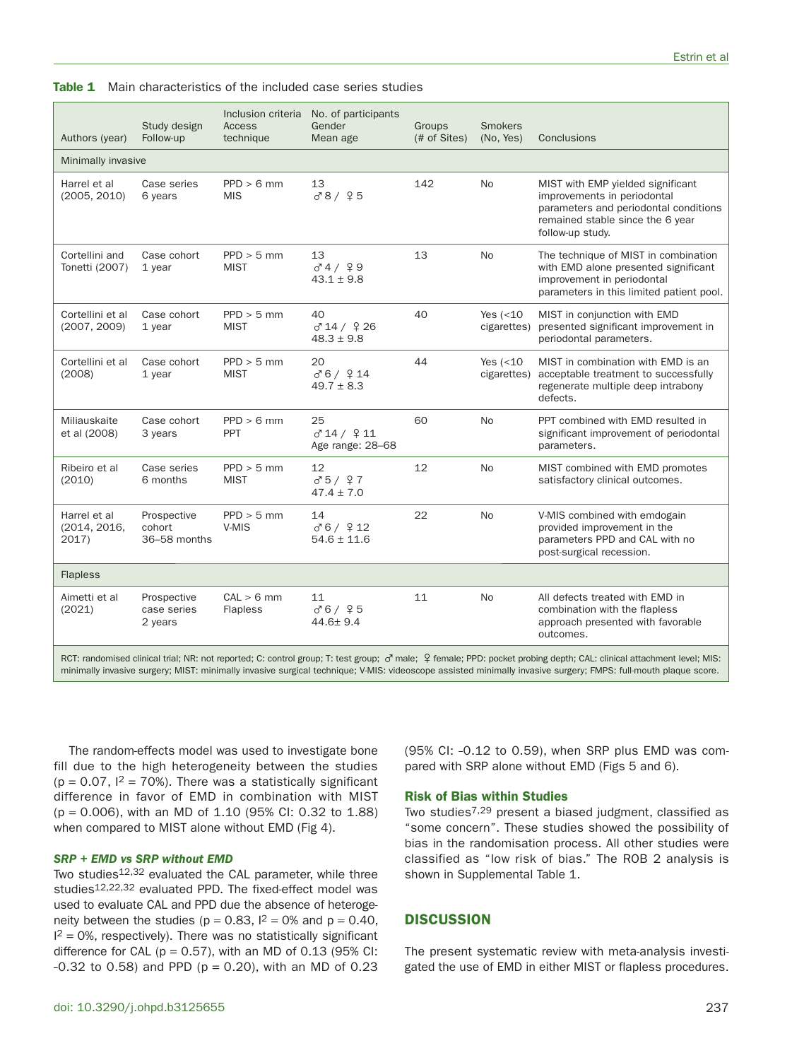#### **Table 1** Main characteristics of the included case series studies

| Authors (year)                        | Study design<br>Follow-up             | Inclusion criteria<br>Access<br>technique | No. of participants<br>Gender<br>Mean age | Groups<br>(# of Sites) | <b>Smokers</b><br>(No. Yes) | Conclusions                                                                                                                                                       |
|---------------------------------------|---------------------------------------|-------------------------------------------|-------------------------------------------|------------------------|-----------------------------|-------------------------------------------------------------------------------------------------------------------------------------------------------------------|
| Minimally invasive                    |                                       |                                           |                                           |                        |                             |                                                                                                                                                                   |
| Harrel et al<br>(2005, 2010)          | Case series<br>6 years                | $PPD > 6$ mm<br><b>MIS</b>                | 13<br>0.8 / 95                            | 142                    | No                          | MIST with EMP yielded significant<br>improvements in periodontal<br>parameters and periodontal conditions<br>remained stable since the 6 year<br>follow-up study. |
| Cortellini and<br>Tonetti (2007)      | Case cohort<br>1 vear                 | $PPD > 5$ mm<br><b>MIST</b>               | 13<br>$0^{7}4/99$<br>$43.1 \pm 9.8$       | 13                     | <b>No</b>                   | The technique of MIST in combination<br>with EMD alone presented significant<br>improvement in periodontal<br>parameters in this limited patient pool.            |
| Cortellini et al<br>(2007, 2009)      | Case cohort<br>1 year                 | $PPD > 5$ mm<br><b>MIST</b>               | 40<br>0'14 / 926<br>$48.3 \pm 9.8$        | 40                     | Yes $(<10$<br>cigarettes)   | MIST in conjunction with EMD<br>presented significant improvement in<br>periodontal parameters.                                                                   |
| Cortellini et al<br>(2008)            | Case cohort<br>1 year                 | $PPD > 5$ mm<br><b>MIST</b>               | 20<br>000 / 914<br>$49.7 \pm 8.3$         | 44                     | Yes $(<10$<br>cigarettes)   | MIST in combination with EMD is an<br>acceptable treatment to successfully<br>regenerate multiple deep intrabony<br>defects.                                      |
| Miliauskaite<br>et al (2008)          | Case cohort<br>3 years                | $PPD > 6$ mm<br>PPT                       | 25<br>0'14 / 911<br>Age range: 28-68      | 60                     | <b>No</b>                   | PPT combined with EMD resulted in<br>significant improvement of periodontal<br>parameters.                                                                        |
| Ribeiro et al<br>(2010)               | Case series<br>6 months               | $PPD > 5$ mm<br><b>MIST</b>               | 12<br>0.5 / 9.7<br>$47.4 \pm 7.0$         | 12                     | <b>No</b>                   | MIST combined with EMD promotes<br>satisfactory clinical outcomes.                                                                                                |
| Harrel et al<br>(2014, 2016,<br>2017) | Prospective<br>cohort<br>36-58 months | $PPD > 5$ mm<br>V-MIS                     | 14<br>000 / 912<br>$54.6 \pm 11.6$        | 22                     | No                          | V-MIS combined with emdogain<br>provided improvement in the<br>parameters PPD and CAL with no<br>post-surgical recession.                                         |
| <b>Flapless</b>                       |                                       |                                           |                                           |                        |                             |                                                                                                                                                                   |
| Aimetti et al<br>(2021)               | Prospective<br>case series<br>2 years | CAL > 6 mm<br>Flapless                    | 11<br>006 / 95<br>$44.6 \pm 9.4$          | 11                     | <b>No</b>                   | All defects treated with EMD in<br>combination with the flapless<br>approach presented with favorable<br>outcomes.                                                |
|                                       |                                       |                                           |                                           |                        |                             |                                                                                                                                                                   |

RCT: randomised clinical trial; NR: not reported; C: control group; T: test group; ♂ male; ♀ female; PPD: pocket probing depth; CAL: clinical attachment level; MIS: minimally invasive surgery; MIST: minimally invasive surgical technique; V-MIS: videoscope assisted minimally invasive surgery; FMPS: full-mouth plaque score.

The random-effects model was used to investigate bone fill due to the high heterogeneity between the studies  $(p = 0.07, 1^2 = 70\%)$ . There was a statistically significant difference in favor of EMD in combination with MIST (p = 0.006), with an MD of 1.10 (95% CI: 0.32 to 1.88) when compared to MIST alone without EMD (Fig 4).

## *SRP + EMD vs SRP without EMD*

Two studies<sup>12,32</sup> evaluated the CAL parameter, while three studies12,22,32 evaluated PPD. The fixed-effect model was used to evaluate CAL and PPD due the absence of heterogeneity between the studies ( $p = 0.83$ ,  $l^2 = 0\%$  and  $p = 0.40$ ,  $I^2 = 0$ %, respectively). There was no statistically significant difference for CAL ( $p = 0.57$ ), with an MD of 0.13 (95% CI:  $-0.32$  to 0.58) and PPD ( $p = 0.20$ ), with an MD of 0.23 (95% CI: -0.12 to 0.59), when SRP plus EMD was compared with SRP alone without EMD (Figs 5 and 6).

## **Risk of Bias within Studies**

Two studies7,29 present a biased judgment, classified as "some concern". These studies showed the possibility of bias in the randomisation process. All other studies were classified as "low risk of bias." The ROB 2 analysis is shown in Supplemental Table 1.

## **DISCUSSION**

The present systematic review with meta-analysis investigated the use of EMD in either MIST or flapless procedures.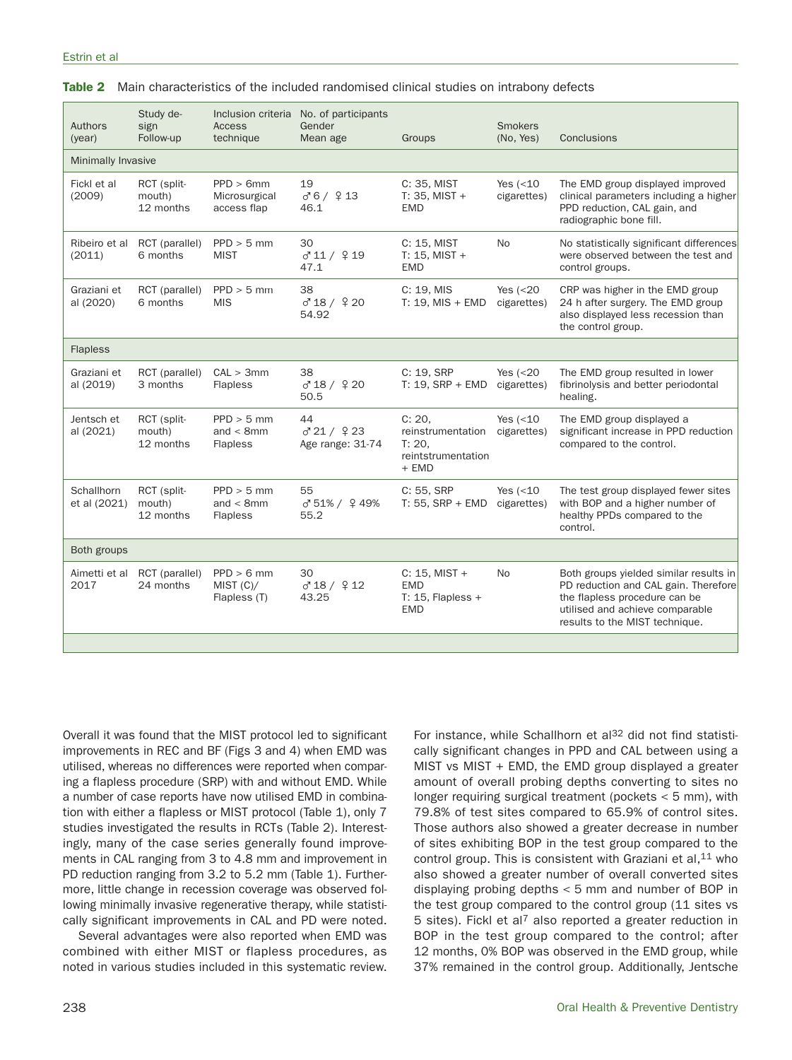| Authors<br>(year)          | Study de-<br>sign<br>Follow-up     | <b>Access</b><br>technique                      | Inclusion criteria No. of participants<br>Gender<br>Mean age | Groups                                                                           | <b>Smokers</b><br>(No, Yes) | Conclusions                                                                                                                                                                          |
|----------------------------|------------------------------------|-------------------------------------------------|--------------------------------------------------------------|----------------------------------------------------------------------------------|-----------------------------|--------------------------------------------------------------------------------------------------------------------------------------------------------------------------------------|
| Minimally Invasive         |                                    |                                                 |                                                              |                                                                                  |                             |                                                                                                                                                                                      |
| Fickl et al<br>(2009)      | RCT (split-<br>mouth)<br>12 months | PPD > 6mm<br>Microsurgical<br>access flap       | 19<br>000 / 913<br>46.1                                      | C: 35, MIST<br>$T: 35.$ MIST +<br><b>EMD</b>                                     | Yes $(<10$<br>cigarettes)   | The EMD group displayed improved<br>clinical parameters including a higher<br>PPD reduction, CAL gain, and<br>radiographic bone fill.                                                |
| Ribeiro et al<br>(2011)    | RCT (parallel)<br>6 months         | $PPD > 5$ mm<br><b>MIST</b>                     | 30<br>0'11 / 919<br>47.1                                     | C: 15, MIST<br>$T: 15, MIST +$<br><b>EMD</b>                                     | No                          | No statistically significant differences<br>were observed between the test and<br>control groups.                                                                                    |
| Graziani et<br>al (2020)   | RCT (parallel)<br>6 months         | $PPD > 5$ mm<br><b>MIS</b>                      | 38<br>0'18 / 920<br>54.92                                    | C: 19, MIS<br>T: $19.$ MIS + EMD                                                 | Yes $(20cigarettes)$        | CRP was higher in the EMD group<br>24 h after surgery. The EMD group<br>also displayed less recession than<br>the control group.                                                     |
| <b>Flapless</b>            |                                    |                                                 |                                                              |                                                                                  |                             |                                                                                                                                                                                      |
| Graziani et<br>al (2019)   | RCT (parallel)<br>3 months         | CAL > 3mm<br><b>Flapless</b>                    | 38<br>0'18 / 920<br>50.5                                     | C: 19, SRP<br>$T: 19$ , SRP + EMD                                                | Yes $(20cigarettes)$        | The EMD group resulted in lower<br>fibrinolysis and better periodontal<br>healing.                                                                                                   |
| Jentsch et<br>al (2021)    | RCT (split-<br>mouth)<br>12 months | $PPD > 5$ mm<br>and $< 8$ mm<br><b>Flapless</b> | 44<br>0'21/923<br>Age range: 31-74                           | C: 20.<br>reinstrumentation cigarettes)<br>T: 20.<br>reintstrumentation<br>+ EMD | Yes $(<10$                  | The EMD group displayed a<br>significant increase in PPD reduction<br>compared to the control.                                                                                       |
| Schallhorn<br>et al (2021) | RCT (split-<br>mouth)<br>12 months | $PPD > 5$ mm<br>and $<$ 8mm<br><b>Flapless</b>  | 55<br>♂51%/ ♀49%<br>55.2                                     | C: 55, SRP<br>$T: 55,$ SRP + EMD                                                 | Yes $(<10$<br>cigarettes)   | The test group displayed fewer sites<br>with BOP and a higher number of<br>healthy PPDs compared to the<br>control.                                                                  |
| Both groups                |                                    |                                                 |                                                              |                                                                                  |                             |                                                                                                                                                                                      |
| Aimetti et al<br>2017      | RCT (parallel)<br>24 months        | $PPD > 6$ mm<br>MIST (C)/<br>Flapless (T)       | 30<br>0'18 / 912<br>43.25                                    | $C: 15.$ MIST +<br><b>EMD</b><br>T: $15$ , Flapless +<br><b>EMD</b>              | No                          | Both groups yielded similar results in<br>PD reduction and CAL gain. Therefore<br>the flapless procedure can be<br>utilised and achieve comparable<br>results to the MIST technique. |
|                            |                                    |                                                 |                                                              |                                                                                  |                             |                                                                                                                                                                                      |

|  | <b>Table 2</b> Main characteristics of the included randomised clinical studies on intrabony defects |  |  |  |  |  |  |  |
|--|------------------------------------------------------------------------------------------------------|--|--|--|--|--|--|--|
|--|------------------------------------------------------------------------------------------------------|--|--|--|--|--|--|--|

Overall it was found that the MIST protocol led to significant improvements in REC and BF (Figs 3 and 4) when EMD was utilised, whereas no differences were reported when comparing a flapless procedure (SRP) with and without EMD. While a number of case reports have now utilised EMD in combination with either a flapless or MIST protocol (Table 1), only 7 studies investigated the results in RCTs (Table 2). Interestingly, many of the case series generally found improvements in CAL ranging from 3 to 4.8 mm and improvement in PD reduction ranging from 3.2 to 5.2 mm (Table 1). Furthermore, little change in recession coverage was observed following minimally invasive regenerative therapy, while statistically significant improvements in CAL and PD were noted.

Several advantages were also reported when EMD was combined with either MIST or flapless procedures, as noted in various studies included in this systematic review.

For instance, while Schallhorn et al<sup>32</sup> did not find statistically significant changes in PPD and CAL between using a MIST vs MIST + EMD, the EMD group displayed a greater amount of overall probing depths converting to sites no longer requiring surgical treatment (pockets < 5 mm), with 79.8% of test sites compared to 65.9% of control sites. Those authors also showed a greater decrease in number of sites exhibiting BOP in the test group compared to the control group. This is consistent with Graziani et al,  $11$  who also showed a greater number of overall converted sites displaying probing depths < 5 mm and number of BOP in the test group compared to the control group (11 sites vs 5 sites). Fickl et al<sup>7</sup> also reported a greater reduction in BOP in the test group compared to the control; after 12 months, 0% BOP was observed in the EMD group, while 37% remained in the control group. Additionally, Jentsche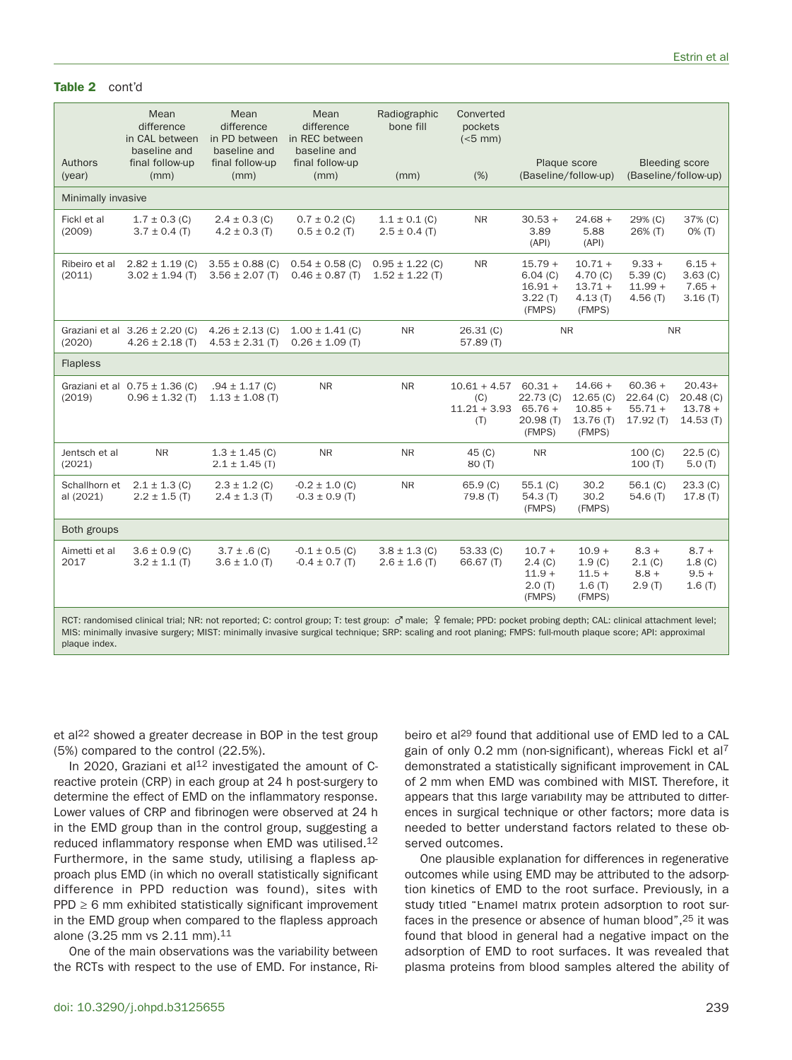## **Table 2** cont'd

| Authors<br>(year)          | Mean<br>difference<br>in CAL between<br>baseline and<br>final follow-up<br>(mm) | Mean<br>difference<br>in PD between<br>baseline and<br>final follow-up<br>(mm) | Mean<br>difference<br>in REC between<br>baseline and<br>final follow-up<br>(mm)                                                                                 | Radiographic<br>bone fill<br>(mm)          | Converted<br>pockets<br>$(<5$ mm $)$<br>(% )   |                                                          | Plaque score<br>(Baseline/follow-up)                     |                                                   | <b>Bleeding score</b><br>(Baseline/follow-up)             |
|----------------------------|---------------------------------------------------------------------------------|--------------------------------------------------------------------------------|-----------------------------------------------------------------------------------------------------------------------------------------------------------------|--------------------------------------------|------------------------------------------------|----------------------------------------------------------|----------------------------------------------------------|---------------------------------------------------|-----------------------------------------------------------|
|                            |                                                                                 |                                                                                |                                                                                                                                                                 |                                            |                                                |                                                          |                                                          |                                                   |                                                           |
| Minimally invasive         |                                                                                 |                                                                                |                                                                                                                                                                 |                                            |                                                |                                                          |                                                          |                                                   |                                                           |
| Fickl et al<br>(2009)      | $1.7 \pm 0.3$ (C)<br>$3.7 \pm 0.4$ (T)                                          | $2.4 \pm 0.3$ (C)<br>$4.2 \pm 0.3$ (T)                                         | $0.7 \pm 0.2$ (C)<br>$0.5 \pm 0.2$ (T)                                                                                                                          | $1.1 \pm 0.1$ (C)<br>$2.5 \pm 0.4$ (T)     | <b>NR</b>                                      | $30.53 +$<br>3.89<br>(API)                               | $24.68 +$<br>5.88<br>(API)                               | 29% (C)<br>26% (T)                                | 37% (C)<br>$0\%$ (T)                                      |
| Ribeiro et al<br>(2011)    | $2.82 \pm 1.19$ (C)<br>$3.02 \pm 1.94$ (T)                                      | $3.55 \pm 0.88$ (C)<br>$3.56 \pm 2.07$ (T)                                     | $0.54 \pm 0.58$ (C)<br>$0.46 \pm 0.87$ (T)                                                                                                                      | $0.95 \pm 1.22$ (C)<br>$1.52 \pm 1.22$ (T) | <b>NR</b>                                      | $15.79 +$<br>6.04(C)<br>$16.91 +$<br>3.22(T)<br>(FMPS)   | $10.71 +$<br>4.70(C)<br>$13.71 +$<br>4.13(T)<br>(FMPS)   | $9.33 +$<br>5.39(C)<br>$11.99 +$<br>4.56(T)       | $6.15 +$<br>3.63(C)<br>$7.65 +$<br>3.16(T)                |
| (2020)                     | Graziani et al $3.26 \pm 2.20$ (C)<br>$4.26 \pm 2.18$ (T)                       | $4.26 \pm 2.13$ (C)<br>$4.53 \pm 2.31$ (T)                                     | $1.00 \pm 1.41$ (C)<br>$0.26 \pm 1.09$ (T)                                                                                                                      | <b>NR</b>                                  | 26.31()<br>57.89 (T)                           |                                                          | <b>NR</b>                                                |                                                   | <b>NR</b>                                                 |
| <b>Flapless</b>            |                                                                                 |                                                                                |                                                                                                                                                                 |                                            |                                                |                                                          |                                                          |                                                   |                                                           |
| (2019)                     | Graziani et al $0.75 \pm 1.36$ (C)<br>$0.96 \pm 1.32$ (T)                       | $.94 \pm 1.17$ (C)<br>$1.13 \pm 1.08$ (T)                                      | <b>NR</b>                                                                                                                                                       | <b>NR</b>                                  | $10.61 + 4.57$<br>(C)<br>$11.21 + 3.93$<br>(T) | $60.31 +$<br>22.73(C)<br>$65.76 +$<br>20.98(T)<br>(FMPS) | $14.66 +$<br>12.65(C)<br>$10.85 +$<br>13.76(T)<br>(FMPS) | $60.36 +$<br>$22.64$ (C)<br>$55.71 +$<br>17.92(T) | $20.43+$<br>20.48 <sub>(C)</sub><br>$13.78 +$<br>14.53(T) |
| Jentsch et al<br>(2021)    | <b>NR</b>                                                                       | $1.3 \pm 1.45$ (C)<br>$2.1 \pm 1.45$ (T)                                       | <b>NR</b>                                                                                                                                                       | <b>NR</b>                                  | 45(C)<br>80 (T)                                | <b>NR</b>                                                |                                                          | 100(C)<br>100(T)                                  | 22.5(G)<br>5.0(T)                                         |
| Schallhorn et<br>al (2021) | $2.1 \pm 1.3$ (C)<br>$2.2 \pm 1.5$ (T)                                          | $2.3 \pm 1.2$ (C)<br>$2.4 \pm 1.3$ (T)                                         | $-0.2 \pm 1.0$ (C)<br>$-0.3 \pm 0.9$ (T)                                                                                                                        | <b>NR</b>                                  | 65.9(C)<br>79.8(T)                             | 55.1(C)<br>54.3 $(T)$<br>(FMPS)                          | 30.2<br>30.2<br>(FMPS)                                   | 56.1 $(C)$<br>54.6(T)                             | 23.3 (C)<br>17.8(T)                                       |
| Both groups                |                                                                                 |                                                                                |                                                                                                                                                                 |                                            |                                                |                                                          |                                                          |                                                   |                                                           |
| Aimetti et al<br>2017      | $3.6 \pm 0.9$ (C)<br>$3.2 \pm 1.1$ (T)                                          | $3.7 \pm .6$ (C)<br>$3.6 \pm 1.0$ (T)                                          | $-0.1 \pm 0.5$ (C)<br>$-0.4 \pm 0.7$ (T)                                                                                                                        | $3.8 \pm 1.3$ (C)<br>$2.6 \pm 1.6$ (T)     | 53.33(C)<br>66.67 (T)                          | $10.7 +$<br>2.4(C)<br>$11.9 +$<br>2.0(T)<br>(FMPS)       | $10.9 +$<br>1.9(C)<br>$11.5 +$<br>1.6(T)<br>(FMPS)       | $8.3 +$<br>2.1 (C)<br>$8.8 +$<br>2.9(T)           | $8.7 +$<br>1.8(C)<br>$9.5 +$<br>1.6(T)                    |
|                            |                                                                                 |                                                                                | RCT: randomised clinical trial; NR: not reported; C: control group; T: test group: o'male; 9 female; PPD: pocket probing depth; CAL: clinical attachment level; |                                            |                                                |                                                          |                                                          |                                                   |                                                           |

MIS: minimally invasive surgery; MIST: minimally invasive surgical technique; SRP: scaling and root planing; FMPS: full-mouth plaque score; API: approximal plaque index.

et al<sup>22</sup> showed a greater decrease in BOP in the test group (5%) compared to the control (22.5%).

In 2020, Graziani et al<sup>12</sup> investigated the amount of Creactive protein (CRP) in each group at 24 h post-surgery to determine the effect of EMD on the inflammatory response. Lower values of CRP and fibrinogen were observed at 24 h in the EMD group than in the control group, suggesting a reduced inflammatory response when EMD was utilised.<sup>12</sup> Furthermore, in the same study, utilising a flapless approach plus EMD (in which no overall statistically significant difference in PPD reduction was found), sites with  $PPD \ge 6$  mm exhibited statistically significant improvement in the EMD group when compared to the flapless approach alone (3.25 mm vs 2.11 mm).11

One of the main observations was the variability between the RCTs with respect to the use of EMD. For instance, Ribeiro et al<sup>29</sup> found that additional use of EMD led to a CAL gain of only 0.2 mm (non-significant), whereas Fickl et al<sup>7</sup> demonstrated a statistically significant improvement in CAL of 2 mm when EMD was combined with MIST. Therefore, it appears that this large variability may be attributed to differences in surgical technique or other factors; more data is needed to better understand factors related to these observed outcomes.

One plausible explanation for differences in regenerative outcomes while using EMD may be attributed to the adsorption kinetics of EMD to the root surface. Previously, in a study titled "Enamel matrix protein adsorption to root surfaces in the presence or absence of human blood",25 it was found that blood in general had a negative impact on the adsorption of EMD to root surfaces. It was revealed that plasma proteins from blood samples altered the ability of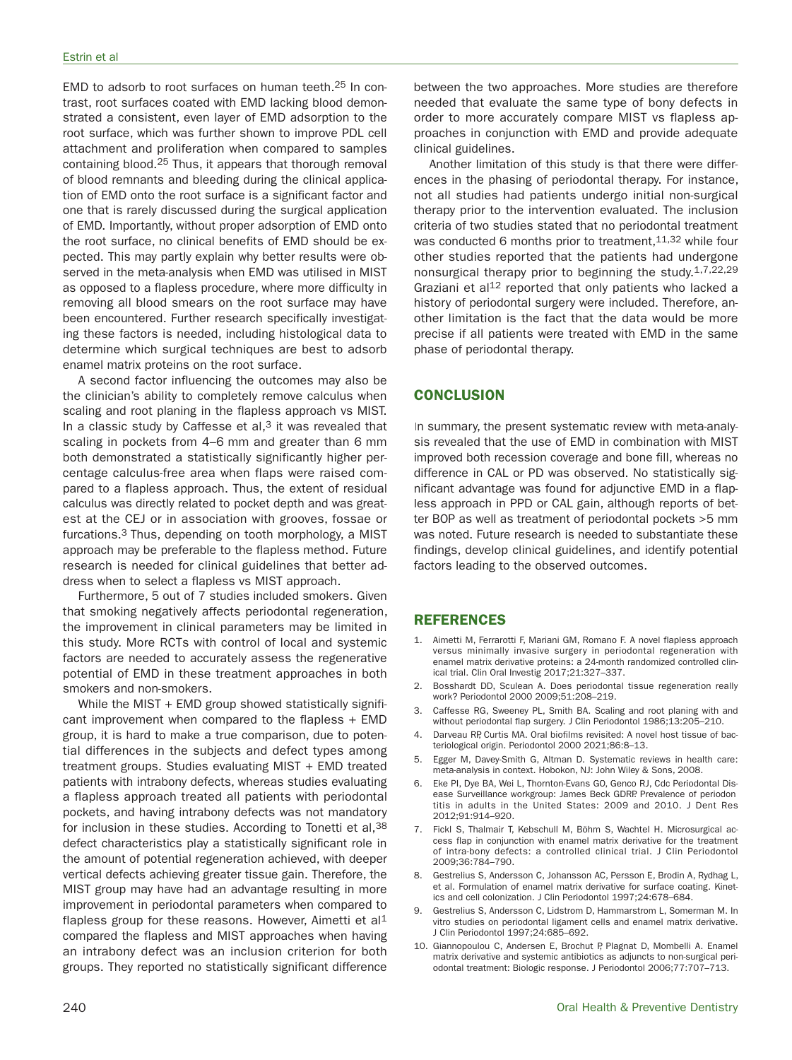EMD to adsorb to root surfaces on human teeth.25 In contrast, root surfaces coated with EMD lacking blood demonstrated a consistent, even layer of EMD adsorption to the root surface, which was further shown to improve PDL cell attachment and proliferation when compared to samples containing blood.25 Thus, it appears that thorough removal of blood remnants and bleeding during the clinical application of EMD onto the root surface is a significant factor and one that is rarely discussed during the surgical application of EMD. Importantly, without proper adsorption of EMD onto the root surface, no clinical benefits of EMD should be expected. This may partly explain why better results were observed in the meta-analysis when EMD was utilised in MIST as opposed to a flapless procedure, where more difficulty in removing all blood smears on the root surface may have been encountered. Further research specifically investigating these factors is needed, including histological data to determine which surgical techniques are best to adsorb enamel matrix proteins on the root surface.

A second factor influencing the outcomes may also be the clinician's ability to completely remove calculus when scaling and root planing in the flapless approach vs MIST. In a classic study by Caffesse et al, $3$  it was revealed that scaling in pockets from 4–6 mm and greater than 6 mm both demonstrated a statistically significantly higher percentage calculus-free area when flaps were raised compared to a flapless approach. Thus, the extent of residual calculus was directly related to pocket depth and was greatest at the CEJ or in association with grooves, fossae or furcations.<sup>3</sup> Thus, depending on tooth morphology, a MIST approach may be preferable to the flapless method. Future research is needed for clinical guidelines that better address when to select a flapless vs MIST approach.

Furthermore, 5 out of 7 studies included smokers. Given that smoking negatively affects periodontal regeneration, the improvement in clinical parameters may be limited in this study. More RCTs with control of local and systemic factors are needed to accurately assess the regenerative potential of EMD in these treatment approaches in both smokers and non-smokers.

While the MIST + EMD group showed statistically significant improvement when compared to the flapless + EMD group, it is hard to make a true comparison, due to potential differences in the subjects and defect types among treatment groups. Studies evaluating MIST + EMD treated patients with intrabony defects, whereas studies evaluating a flapless approach treated all patients with periodontal pockets, and having intrabony defects was not mandatory for inclusion in these studies. According to Tonetti et al, 38 defect characteristics play a statistically significant role in the amount of potential regeneration achieved, with deeper vertical defects achieving greater tissue gain. Therefore, the MIST group may have had an advantage resulting in more improvement in periodontal parameters when compared to flapless group for these reasons. However, Aimetti et al<sup>1</sup> compared the flapless and MIST approaches when having an intrabony defect was an inclusion criterion for both groups. They reported no statistically significant difference

between the two approaches. More studies are therefore needed that evaluate the same type of bony defects in order to more accurately compare MIST vs flapless approaches in conjunction with EMD and provide adequate clinical guidelines.

Another limitation of this study is that there were differences in the phasing of periodontal therapy. For instance, not all studies had patients undergo initial non-surgical therapy prior to the intervention evaluated. The inclusion criteria of two studies stated that no periodontal treatment was conducted 6 months prior to treatment,  $11,32$  while four other studies reported that the patients had undergone nonsurgical therapy prior to beginning the study.1,7,22,29 Graziani et al $12$  reported that only patients who lacked a history of periodontal surgery were included. Therefore, another limitation is the fact that the data would be more precise if all patients were treated with EMD in the same phase of periodontal therapy.

## **CONCLUSION**

In summary, the present systematic review with meta-analysis revealed that the use of EMD in combination with MIST improved both recession coverage and bone fill, whereas no difference in CAL or PD was observed. No statistically significant advantage was found for adjunctive EMD in a flapless approach in PPD or CAL gain, although reports of better BOP as well as treatment of periodontal pockets >5 mm was noted. Future research is needed to substantiate these findings, develop clinical guidelines, and identify potential factors leading to the observed outcomes.

## **REFERENCES**

- 1. Aimetti M, Ferrarotti F, Mariani GM, Romano F. A novel flapless approach versus minimally invasive surgery in periodontal regeneration with enamel matrix derivative proteins: a 24-month randomized controlled clinical trial. Clin Oral Investig 2017;21:327–337.
- 2. Bosshardt DD, Sculean A. Does periodontal tissue regeneration really work? Periodontol 2000 2009;51:208–219.
- Caffesse RG, Sweeney PL, Smith BA. Scaling and root planing with and without periodontal flap surgery. J Clin Periodontol 1986;13:205–210.
- 4. Darveau RP, Curtis MA. Oral biofilms revisited: A novel host tissue of bacteriological origin. Periodontol 2000 2021;86:8–13.
- 5. Egger M, Davey-Smith G, Altman D. Systematic reviews in health care: meta-analysis in context. Hobokon, NJ: John Wiley & Sons, 2008.
- 6. Eke PI, Dye BA, Wei L, Thornton-Evans GO, Genco RJ, Cdc Periodontal Disease Surveillance workgroup: James Beck GDRP. Prevalence of periodontitis in adults in the United States: 2009 and 2010. J Dent Res 2012;91:914–920.
- 7. Fickl S, Thalmair T, Kebschull M, Böhm S, Wachtel H. Microsurgical access flap in conjunction with enamel matrix derivative for the treatment of intra-bony defects: a controlled clinical trial. J Clin Periodontol 2009;36:784–790.
- 8. Gestrelius S, Andersson C, Johansson AC, Persson E, Brodin A, Rydhag L, et al. Formulation of enamel matrix derivative for surface coating. Kinetics and cell colonization. J Clin Periodontol 1997;24:678–684.
- 9. Gestrelius S, Andersson C, Lidstrom D, Hammarstrom L, Somerman M. In vitro studies on periodontal ligament cells and enamel matrix derivative. J Clin Periodontol 1997;24:685–692.
- 10. Giannopoulou C, Andersen E, Brochut P, Plagnat D, Mombelli A. Enamel matrix derivative and systemic antibiotics as adjuncts to non-surgical periodontal treatment: Biologic response. J Periodontol 2006;77:707–713.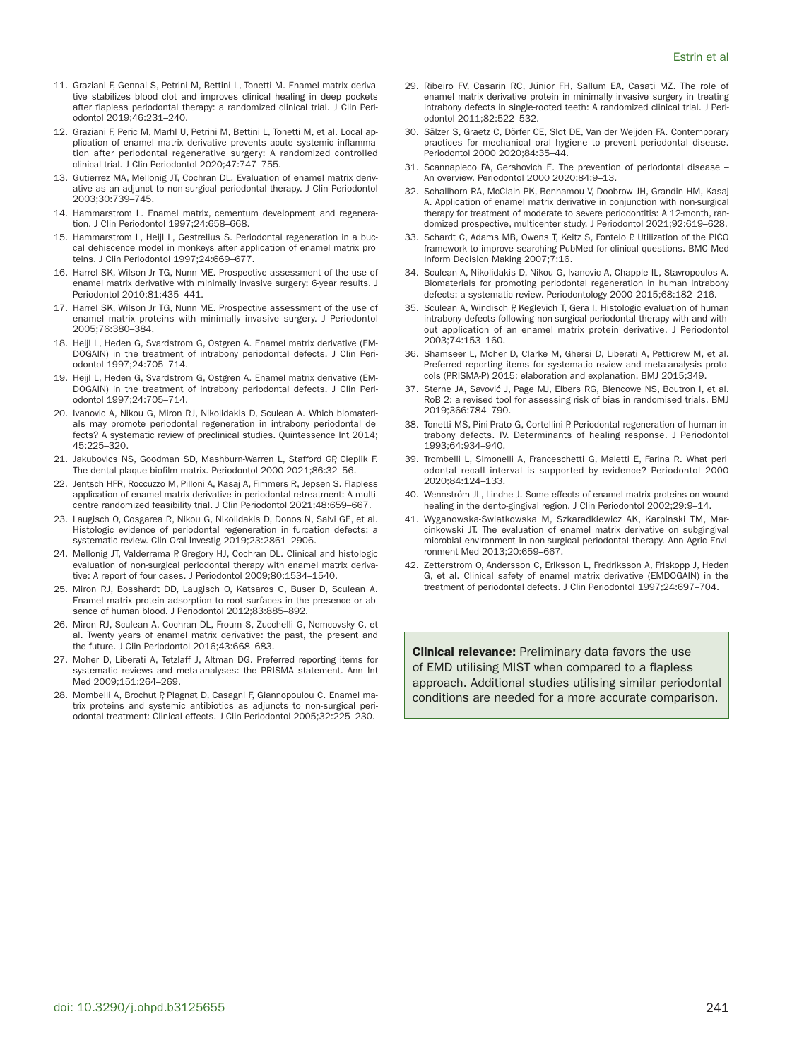- 11. Graziani F, Gennai S, Petrini M, Bettini L, Tonetti M. Enamel matrix derivative stabilizes blood clot and improves clinical healing in deep pockets after flapless periodontal therapy: a randomized clinical trial. J Clin Periodontol 2019;46:231–240.
- 12. Graziani F, Peric M, Marhl U, Petrini M, Bettini L, Tonetti M, et al. Local application of enamel matrix derivative prevents acute systemic inflammation after periodontal regenerative surgery: A randomized controlled clinical trial. J Clin Periodontol 2020;47:747–755.
- 13. Gutierrez MA, Mellonig JT, Cochran DL. Evaluation of enamel matrix derivative as an adjunct to non-surgical periodontal therapy. J Clin Periodontol 2003;30:739–745.
- 14. Hammarstrom L. Enamel matrix, cementum development and regeneration. J Clin Periodontol 1997;24:658–668.
- 15. Hammarstrom L, Heijl L, Gestrelius S. Periodontal regeneration in a buccal dehiscence model in monkeys after application of enamel matrix proteins. J Clin Periodontol 1997;24:669–677.
- 16. Harrel SK, Wilson Jr TG, Nunn ME. Prospective assessment of the use of enamel matrix derivative with minimally invasive surgery: 6-year results. J Periodontol 2010;81:435–441.
- 17. Harrel SK, Wilson Jr TG, Nunn ME. Prospective assessment of the use of enamel matrix proteins with minimally invasive surgery. J Periodontol 2005;76:380–384.
- 18. Heijl L, Heden G, Svardstrom G, Ostgren A. Enamel matrix derivative (EM-DOGAIN) in the treatment of intrabony periodontal defects. J Clin Periodontol 1997;24:705–714.
- 19. Heijl L, Heden G, Svärdström G, Ostgren A. Enamel matrix derivative (EM-DOGAIN) in the treatment of intrabony periodontal defects. J Clin Periodontol 1997;24:705–714.
- 20. Ivanovic A, Nikou G, Miron RJ, Nikolidakis D, Sculean A. Which biomaterials may promote periodontal regeneration in intrabony periodontal defects? A systematic review of preclinical studies. Quintessence Int 2014; 45:225–320.
- 21. Jakubovics NS, Goodman SD, Mashburn-Warren L, Stafford GP, Cieplik F. The dental plaque biofilm matrix. Periodontol 2000 2021;86:32–56.
- 22. Jentsch HFR, Roccuzzo M, Pilloni A, Kasaj A, Fimmers R, Jepsen S. Flapless application of enamel matrix derivative in periodontal retreatment: A multicentre randomized feasibility trial. J Clin Periodontol 2021;48:659–667.
- 23. Laugisch O, Cosgarea R, Nikou G, Nikolidakis D, Donos N, Salvi GE, et al. Histologic evidence of periodontal regeneration in furcation defects: a systematic review. Clin Oral Investig 2019;23:2861–2906.
- 24. Mellonig JT, Valderrama P, Gregory HJ, Cochran DL. Clinical and histologic evaluation of non-surgical periodontal therapy with enamel matrix derivative: A report of four cases. J Periodontol 2009;80:1534–1540.
- 25. Miron RJ, Bosshardt DD, Laugisch O, Katsaros C, Buser D, Sculean A. Enamel matrix protein adsorption to root surfaces in the presence or absence of human blood. J Periodontol 2012;83:885–892.
- 26. Miron RJ, Sculean A, Cochran DL, Froum S, Zucchelli G, Nemcovsky C, et al. Twenty years of enamel matrix derivative: the past, the present and the future. J Clin Periodontol 2016;43:668–683.
- 27. Moher D, Liberati A, Tetzlaff J, Altman DG. Preferred reporting items for systematic reviews and meta-analyses: the PRISMA statement. Ann Int Med 2009;151:264–269.
- 28. Mombelli A, Brochut P, Plagnat D, Casagni F, Giannopoulou C. Enamel matrix proteins and systemic antibiotics as adjuncts to non-surgical periodontal treatment: Clinical effects. J Clin Periodontol 2005;32:225–230.
- 29. Ribeiro FV, Casarin RC, Júnior FH, Sallum EA, Casati MZ. The role of enamel matrix derivative protein in minimally invasive surgery in treating intrabony defects in single-rooted teeth: A randomized clinical trial. J Periodontol 2011;82:522–532.
- 30. Sälzer S, Graetz C, Dörfer CE, Slot DE, Van der Weijden FA. Contemporary practices for mechanical oral hygiene to prevent periodontal disease. Periodontol 2000 2020;84:35–44.
- 31. Scannapieco FA, Gershovich E. The prevention of periodontal disease An overview. Periodontol 2000 2020;84:9–13.
- 32. Schallhorn RA, McClain PK, Benhamou V, Doobrow JH, Grandin HM, Kasaj A. Application of enamel matrix derivative in conjunction with non-surgical therapy for treatment of moderate to severe periodontitis: A 12-month, randomized prospective, multicenter study. J Periodontol 2021;92:619–628.
- 33. Schardt C, Adams MB, Owens T, Keitz S, Fontelo P. Utilization of the PICO framework to improve searching PubMed for clinical questions. BMC Med Inform Decision Making 2007;7:16.
- 34. Sculean A, Nikolidakis D, Nikou G, Ivanovic A, Chapple IL, Stavropoulos A. Biomaterials for promoting periodontal regeneration in human intrabony defects: a systematic review. Periodontology 2000 2015;68:182–216.
- 35. Sculean A, Windisch P, Keglevich T, Gera I. Histologic evaluation of human intrabony defects following non-surgical periodontal therapy with and without application of an enamel matrix protein derivative. J Periodontol 2003;74:153–160.
- 36. Shamseer L, Moher D, Clarke M, Ghersi D, Liberati A, Petticrew M, et al. Preferred reporting items for systematic review and meta-analysis protocols (PRISMA-P) 2015: elaboration and explanation. BMJ 2015;349.
- 37. Sterne JA, Savović J, Page MJ, Elbers RG, Blencowe NS, Boutron I, et al. RoB 2: a revised tool for assessing risk of bias in randomised trials. BMJ 2019;366:784–790.
- 38. Tonetti MS, Pini-Prato G, Cortellini P. Periodontal regeneration of human intrabony defects. IV. Determinants of healing response. J Periodontol 1993;64:934–940.
- 39. Trombelli L, Simonelli A, Franceschetti G, Maietti E, Farina R. What periodontal recall interval is supported by evidence? Periodontol 2000 2020;84:124–133.
- 40. Wennström JL, Lindhe J. Some effects of enamel matrix proteins on wound healing in the dento-gingival region. J Clin Periodontol 2002;29:9–14.
- 41. Wyganowska-Swiatkowska M, Szkaradkiewicz AK, Karpinski TM, Marcinkowski JT. The evaluation of enamel matrix derivative on subgingival microbial environment in non-surgical periodontal therapy. Ann Agric Environment Med 2013;20:659–667.
- 42. Zetterstrom O, Andersson C, Eriksson L, Fredriksson A, Friskopp J, Heden G, et al. Clinical safety of enamel matrix derivative (EMDOGAIN) in the treatment of periodontal defects. J Clin Periodontol 1997;24:697–704.

**Clinical relevance:** Preliminary data favors the use of EMD utilising MIST when compared to a flapless approach. Additional studies utilising similar periodontal conditions are needed for a more accurate comparison.